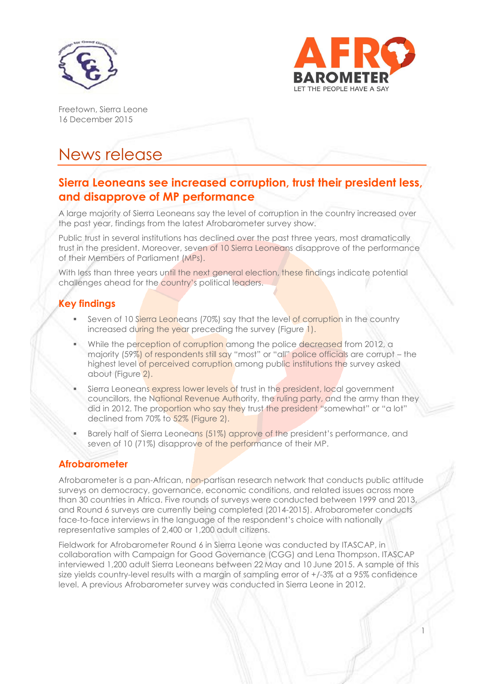



1

Freetown, Sierra Leone 16 December 2015

# News release

## **Sierra Leoneans see increased corruption, trust their president less, and disapprove of MP performance**

A large majority of Sierra Leoneans say the level of corruption in the country increased over the past year, findings from the latest Afrobarometer survey show.

Public trust in several institutions has declined over the past three years, most dramatically trust in the president. Moreover, seven of 10 Sierra Leoneans disapprove of the performance of their Members of Parliament (MPs).

With less than three years until the next general election, these findings indicate potential challenges ahead for the country's political leaders.

# **Key findings**

- Seven of 10 Sierra Leoneans (70%) say that the level of corruption in the country increased during the year preceding the survey (Figure 1).
- While the perception of corruption among the police decreased from 2012, a majority (59%) of respondents still say "most" or "all" police officials are corrupt – the highest level of perceived corruption among public institutions the survey asked about (Figure 2).
- Sierra Leoneans express lower levels of trust in the president, local government councillors, the National Revenue Authority, the ruling party, and the army than they did in 2012. The proportion who say they trust the president "somewhat" or "a lot" declined from 70% to 52% (Figure 2).
- Barely half of Sierra Leoneans (51%) approve of the president's performance, and seven of 10 (71%) disapprove of the performance of their MP.

### **Afrobarometer**

Afrobarometer is a pan-African, non-partisan research network that conducts public attitude surveys on democracy, governance, economic conditions, and related issues across more than 30 countries in Africa. Five rounds of surveys were conducted between 1999 and 2013, and Round 6 surveys are currently being completed (2014-2015). Afrobarometer conducts face-to-face interviews in the language of the respondent's choice with nationally representative samples of 2,400 or 1,200 adult citizens.

Fieldwork for Afrobarometer Round 6 in Sierra Leone was conducted by ITASCAP, in collaboration with Campaign for Good Governance (CGG) and Lena Thompson. ITASCAP interviewed 1,200 adult Sierra Leoneans between 22 May and 10 June 2015. A sample of this size yields country-level results with a margin of sampling error of +/-3% at a 95% confidence level. A previous Afrobarometer survey was conducted in Sierra Leone in 2012.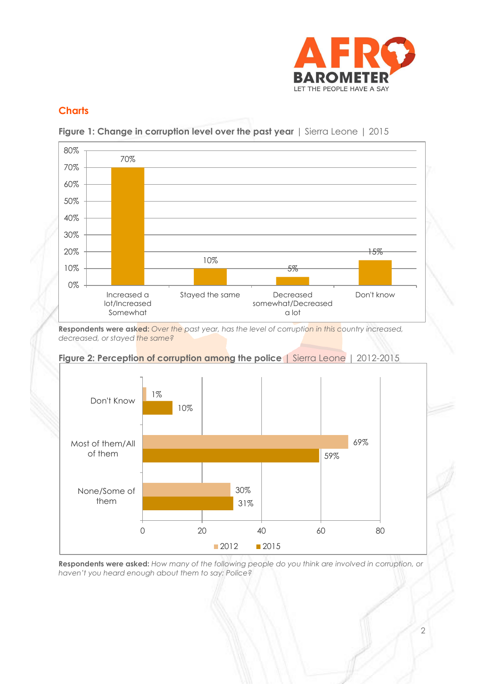

## **Charts**





**Respondents were asked:** *Over the past year, has the level of corruption in this country increased, decreased, or stayed the same?*





**Respondents were asked:** *How many of the following people do you think are involved in corruption, or haven't you heard enough about them to say: Police?*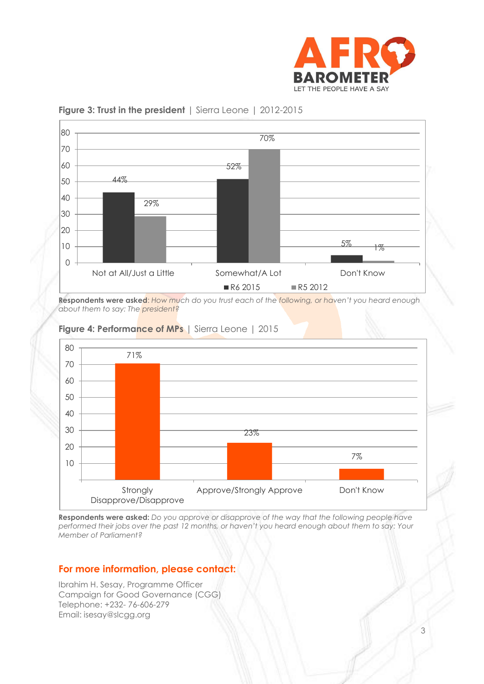



#### **Figure 3: Trust in the president** | Sierra Leone | 2012-2015

**Respondents were asked**: *How much do you trust each of the following, or haven't you heard enough about them to say: The president?*



#### **Figure 4: Performance of MPs** | Sierra Leone | 2015

**Respondents were asked:** *Do you approve or disapprove of the way that the following people have performed their jobs over the past 12 months, or haven't you heard enough about them to say: Your Member of Parliament?*

### **For more information, please contact:**

Ibrahim H. Sesay, Programme Officer Campaign for Good Governance (CGG) Telephone: +232- 76-606-279 Email: isesay@slcgg.org